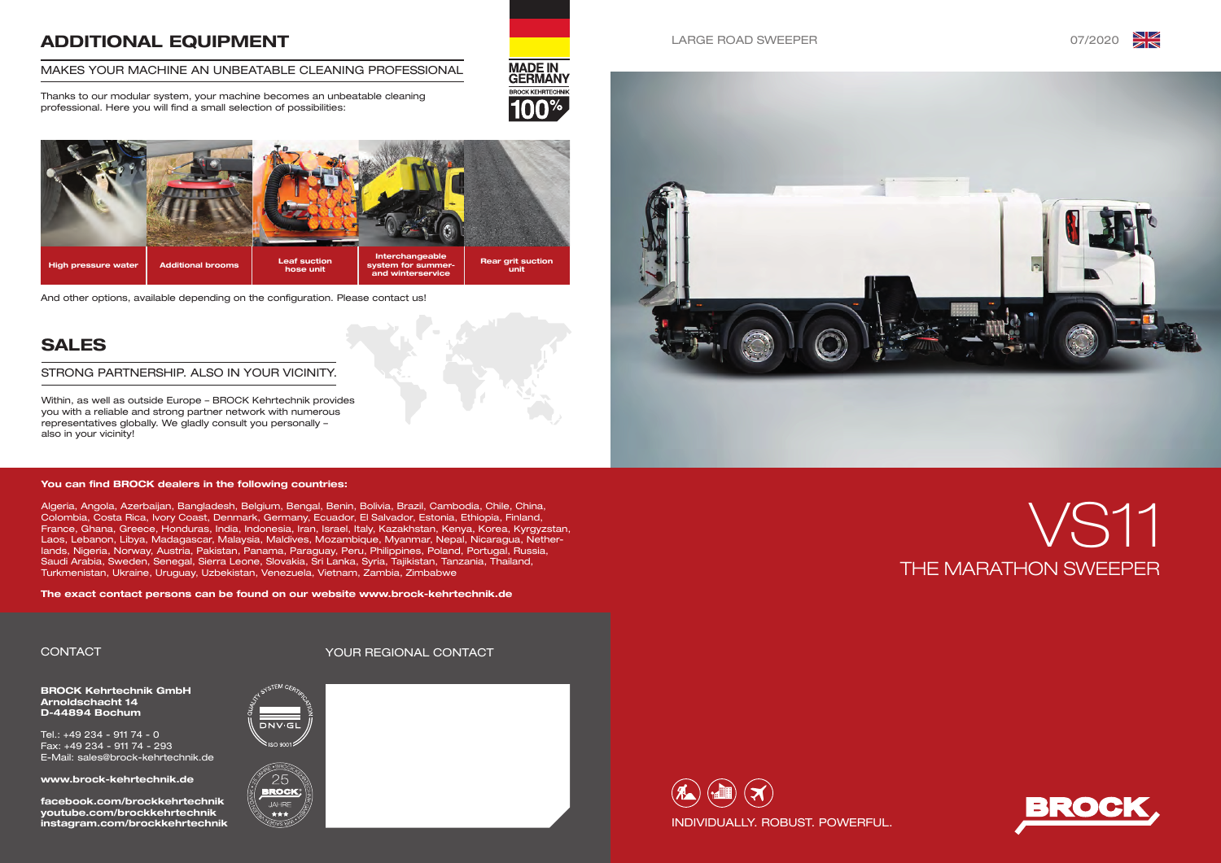







BROCK Kehrtechnik GmbH Arnoldschacht 14 D-44894 Bochum

Tel.: +49 234 - 911 74 - 0 Fax: +49 234 - 911 74 - 293 E-Mail: sales@brock-kehrtechnik.de

www.brock-kehrtechnik.de

facebook.com/brockkehrtechnik youtube.com/brockkehrtechnik instagram.com/brockkehrtechnik





## ADDITIONAL EQUIPMENT

### MAKES YOUR MACHINE AN UNBEATABLE CLEANING PROFESSIONAL

Thanks to our modular system, your machine becomes an unbeatable cleaning professional. Here you will find a small selection of possibilities:



## SALES

Within, as well as outside Europe – BROCK Kehrtechnik provides you with a reliable and strong partner network with numerous representatives globally. We gladly consult you personally – also in your vicinity!

#### STRONG PARTNERSHIP. ALSO IN YOUR VICINITY.

CONTACT YOUR REGIONAL CONTACT



**MADE IN<br>GERMANY BROCK KEHRTECHNIK** 



agram.com/brockkehrtechnik INDIVIDUALLY. ROBUST. POWERFUL.

And other options, available depending on the configuration. Please contact us!

#### You can find BROCK dealers in the following countries:

Algeria, Angola, Azerbaijan, Bangladesh, Belgium, Bengal, Benin, Bolivia, Brazil, Cambodia, Chile, China, Colombia, Costa Rica, Ivory Coast, Denmark, Germany, Ecuador, El Salvador, Estonia, Ethiopia, Finland, France, Ghana, Greece, Honduras, India, Indonesia, Iran, Israel, Italy, Kazakhstan, Kenya, Korea, Kyrgyzstan, Laos, Lebanon, Libya, Madagascar, Malaysia, Maldives, Mozambique, Myanmar, Nepal, Nicaragua, Netherlands, Nigeria, Norway, Austria, Pakistan, Panama, Paraguay, Peru, Philippines, Poland, Portugal, Russia, Saudi Arabia, Sweden, Senegal, Sierra Leone, Slovakia, Sri Lanka, Syria, Tajikistan, Tanzania, Thailand, Turkmenistan, Ukraine, Uruguay, Uzbekistan, Venezuela, Vietnam, Zambia, Zimbabwe

The exact contact persons can be found on our website www.brock-kehrtechnik.de